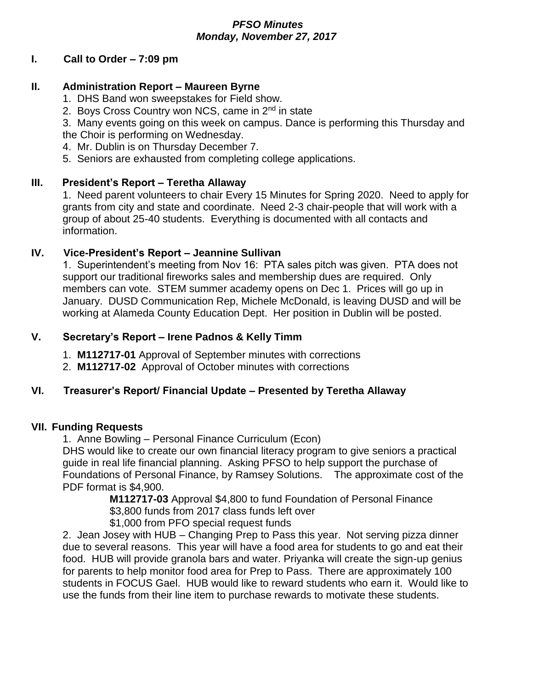### *PFSO Minutes Monday, November 27, 2017*

### **I. Call to Order – 7:09 pm**

## **II. Administration Report – Maureen Byrne**

- 1. DHS Band won sweepstakes for Field show.
- 2. Boys Cross Country won NCS, came in 2<sup>nd</sup> in state

3. Many events going on this week on campus. Dance is performing this Thursday and the Choir is performing on Wednesday.

- 4. Mr. Dublin is on Thursday December 7.
- 5. Seniors are exhausted from completing college applications.

# **III. President's Report – Teretha Allaway**

1. Need parent volunteers to chair Every 15 Minutes for Spring 2020. Need to apply for grants from city and state and coordinate. Need 2-3 chair-people that will work with a group of about 25-40 students. Everything is documented with all contacts and information.

### **IV. Vice-President's Report – Jeannine Sullivan**

1. Superintendent's meeting from Nov 16: PTA sales pitch was given. PTA does not support our traditional fireworks sales and membership dues are required. Only members can vote. STEM summer academy opens on Dec 1. Prices will go up in January. DUSD Communication Rep, Michele McDonald, is leaving DUSD and will be working at Alameda County Education Dept. Her position in Dublin will be posted.

### **V. Secretary's Report – Irene Padnos & Kelly Timm**

- 1. **M112717-01** Approval of September minutes with corrections
- 2. **M112717-02** Approval of October minutes with corrections

# **VI. Treasurer's Report/ Financial Update – Presented by Teretha Allaway**

#### **VII. Funding Requests**

1. Anne Bowling – Personal Finance Curriculum (Econ)

DHS would like to create our own financial literacy program to give seniors a practical guide in real life financial planning. Asking PFSO to help support the purchase of Foundations of Personal Finance, by Ramsey Solutions. The approximate cost of the PDF format is \$4,900.

**M112717-03** Approval \$4,800 to fund Foundation of Personal Finance \$3,800 funds from 2017 class funds left over

\$1,000 from PFO special request funds

2. Jean Josey with HUB – Changing Prep to Pass this year. Not serving pizza dinner due to several reasons. This year will have a food area for students to go and eat their food. HUB will provide granola bars and water. Priyanka will create the sign-up genius for parents to help monitor food area for Prep to Pass. There are approximately 100 students in FOCUS Gael. HUB would like to reward students who earn it. Would like to use the funds from their line item to purchase rewards to motivate these students.